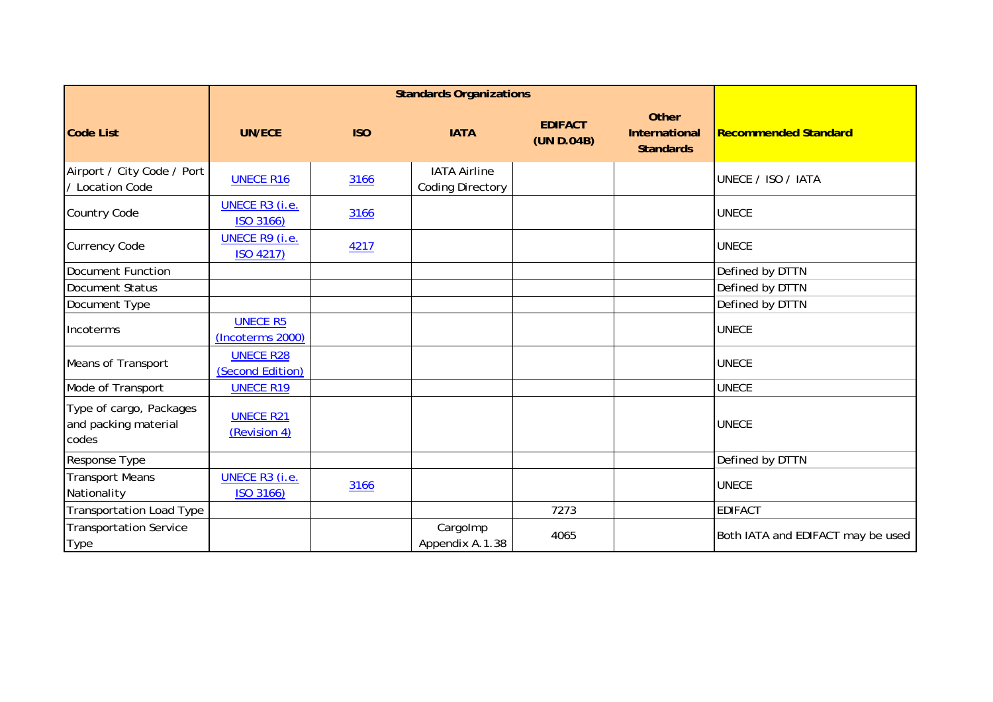|                                                          |                                      | <b>Standards Organizations</b> |                                                |                              |                                            |                                   |
|----------------------------------------------------------|--------------------------------------|--------------------------------|------------------------------------------------|------------------------------|--------------------------------------------|-----------------------------------|
| <b>Code List</b>                                         | <b>UN/ECE</b>                        | <b>ISO</b>                     | <b>IATA</b>                                    | <b>EDIFACT</b><br>(UN D.04B) | Other<br>International<br><b>Standards</b> | <b>Recommended Standard</b>       |
| Airport / City Code / Port<br>/ Location Code            | <b>UNECE R16</b>                     | 3166                           | <b>IATA Airline</b><br><b>Coding Directory</b> |                              |                                            | UNECE / ISO / IATA                |
| <b>Country Code</b>                                      | UNECE R3 (i.e.<br>ISO 3166)          | 3166                           |                                                |                              |                                            | <b>UNECE</b>                      |
| <b>Currency Code</b>                                     | <b>UNECE R9 (i.e.</b><br>ISO 4217)   | 4217                           |                                                |                              |                                            | <b>UNECE</b>                      |
| Document Function                                        |                                      |                                |                                                |                              |                                            | Defined by DTTN                   |
| Document Status                                          |                                      |                                |                                                |                              |                                            | Defined by DTTN                   |
| Document Type                                            |                                      |                                |                                                |                              |                                            | Defined by DTTN                   |
| Incoterms                                                | <b>UNECE R5</b><br>(Incoterms 2000)  |                                |                                                |                              |                                            | <b>UNECE</b>                      |
| <b>Means of Transport</b>                                | <b>UNECE R28</b><br>(Second Edition) |                                |                                                |                              |                                            | <b>UNECE</b>                      |
| Mode of Transport                                        | <b>UNECE R19</b>                     |                                |                                                |                              |                                            | <b>UNECE</b>                      |
| Type of cargo, Packages<br>and packing material<br>codes | <b>UNECE R21</b><br>(Revision 4)     |                                |                                                |                              |                                            | <b>UNECE</b>                      |
| Response Type                                            |                                      |                                |                                                |                              |                                            | Defined by DTTN                   |
| <b>Transport Means</b><br>Nationality                    | UNECE R3 (i.e.<br>ISO 3166)          | 3166                           |                                                |                              |                                            | <b>UNECE</b>                      |
| Transportation Load Type                                 |                                      |                                |                                                | 7273                         |                                            | <b>EDIFACT</b>                    |
| <b>Transportation Service</b><br><b>Type</b>             |                                      |                                | Cargolmp<br>Appendix A.1.38                    | 4065                         |                                            | Both IATA and EDIFACT may be used |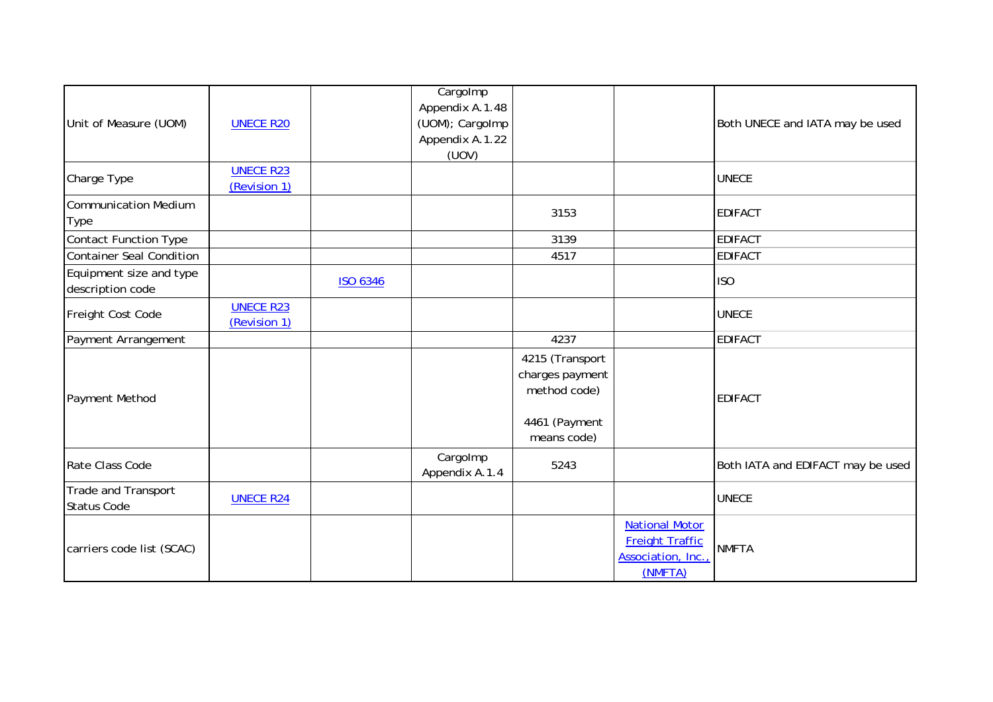|                              |                  | Cargolmp        |                 |                        |                                   |
|------------------------------|------------------|-----------------|-----------------|------------------------|-----------------------------------|
| Unit of Measure (UOM)        |                  | Appendix A.1.48 |                 |                        |                                   |
|                              | <b>UNECE R20</b> | (UOM); CargoImp |                 |                        | Both UNECE and IATA may be used   |
|                              |                  |                 |                 |                        |                                   |
|                              |                  | Appendix A.1.22 |                 |                        |                                   |
|                              |                  | (UOV)           |                 |                        |                                   |
| Charge Type                  | <b>UNECE R23</b> |                 |                 |                        | <b>UNECE</b>                      |
|                              | (Revision 1)     |                 |                 |                        |                                   |
| <b>Communication Medium</b>  |                  |                 |                 |                        |                                   |
| Type                         |                  |                 | 3153            |                        | <b>EDIFACT</b>                    |
| <b>Contact Function Type</b> |                  |                 | 3139            |                        | <b>EDIFACT</b>                    |
| Container Seal Condition     |                  |                 | 4517            |                        | <b>EDIFACT</b>                    |
| Equipment size and type      |                  |                 |                 |                        |                                   |
| description code             |                  | <b>ISO 6346</b> |                 |                        | <b>ISO</b>                        |
|                              | <b>UNECE R23</b> |                 |                 |                        |                                   |
| Freight Cost Code            |                  |                 |                 |                        | <b>UNECE</b>                      |
|                              | (Revision 1)     |                 |                 |                        |                                   |
| Payment Arrangement          |                  |                 | 4237            |                        | <b>EDIFACT</b>                    |
|                              |                  |                 | 4215 (Transport |                        |                                   |
|                              |                  |                 | charges payment |                        |                                   |
| Payment Method               |                  |                 | method code)    |                        | <b>EDIFACT</b>                    |
|                              |                  |                 |                 |                        |                                   |
|                              |                  |                 |                 |                        |                                   |
|                              |                  |                 | 4461 (Payment   |                        |                                   |
|                              |                  |                 | means code)     |                        |                                   |
| Rate Class Code              |                  | Cargolmp        | 5243            |                        | Both IATA and EDIFACT may be used |
|                              |                  | Appendix A.1.4  |                 |                        |                                   |
| Trade and Transport          |                  |                 |                 |                        |                                   |
| <b>Status Code</b>           | <b>UNECE R24</b> |                 |                 |                        | <b>UNECE</b>                      |
| carriers code list (SCAC)    |                  |                 |                 | <b>National Motor</b>  | <b>NMFTA</b>                      |
|                              |                  |                 |                 | <b>Freight Traffic</b> |                                   |
|                              |                  |                 |                 | Association, Inc.,     |                                   |
|                              |                  |                 |                 | (NMFTA)                |                                   |
|                              |                  |                 |                 |                        |                                   |